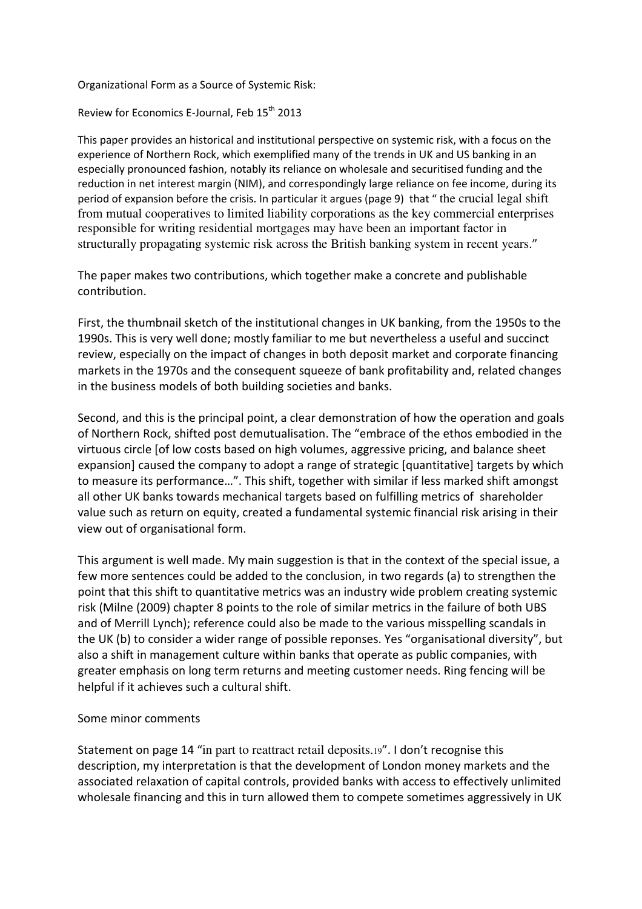Organizational Form as a Source of Systemic Risk:

Review for Economics E-Journal, Feb 15<sup>th</sup> 2013

This paper provides an historical and institutional perspective on systemic risk, with a focus on the experience of Northern Rock, which exemplified many of the trends in UK and US banking in an especially pronounced fashion, notably its reliance on wholesale and securitised funding and the reduction in net interest margin (NIM), and correspondingly large reliance on fee income, during its period of expansion before the crisis. In particular it argues (page 9) that " the crucial legal shift from mutual cooperatives to limited liability corporations as the key commercial enterprises responsible for writing residential mortgages may have been an important factor in structurally propagating systemic risk across the British banking system in recent years."

The paper makes two contributions, which together make a concrete and publishable contribution.

First, the thumbnail sketch of the institutional changes in UK banking, from the 1950s to the 1990s. This is very well done; mostly familiar to me but nevertheless a useful and succinct review, especially on the impact of changes in both deposit market and corporate financing markets in the 1970s and the consequent squeeze of bank profitability and, related changes in the business models of both building societies and banks.

Second, and this is the principal point, a clear demonstration of how the operation and goals of Northern Rock, shifted post demutualisation. The "embrace of the ethos embodied in the virtuous circle [of low costs based on high volumes, aggressive pricing, and balance sheet expansion] caused the company to adopt a range of strategic [quantitative] targets by which to measure its performance…". This shift, together with similar if less marked shift amongst all other UK banks towards mechanical targets based on fulfilling metrics of shareholder value such as return on equity, created a fundamental systemic financial risk arising in their view out of organisational form.

This argument is well made. My main suggestion is that in the context of the special issue, a few more sentences could be added to the conclusion, in two regards (a) to strengthen the point that this shift to quantitative metrics was an industry wide problem creating systemic risk (Milne (2009) chapter 8 points to the role of similar metrics in the failure of both UBS and of Merrill Lynch); reference could also be made to the various misspelling scandals in the UK (b) to consider a wider range of possible reponses. Yes "organisational diversity", but also a shift in management culture within banks that operate as public companies, with greater emphasis on long term returns and meeting customer needs. Ring fencing will be helpful if it achieves such a cultural shift.

## Some minor comments

Statement on page 14 "in part to reattract retail deposits.19". I don't recognise this description, my interpretation is that the development of London money markets and the associated relaxation of capital controls, provided banks with access to effectively unlimited wholesale financing and this in turn allowed them to compete sometimes aggressively in UK